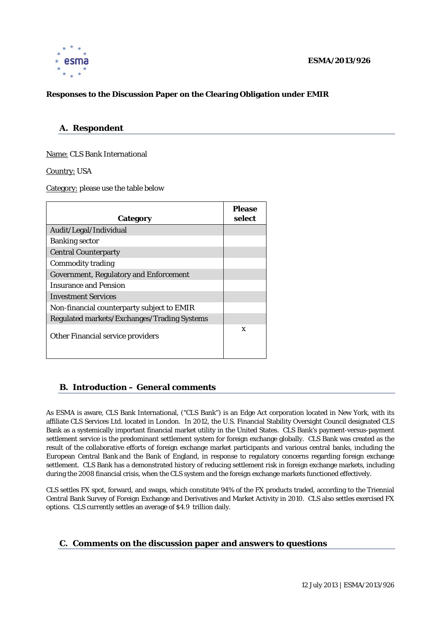

### **ESMA/2013/926**

## **Responses to the Discussion Paper on the Clearing Obligation under EMIR**

## **A. Respondent**

Name: CLS Bank International

Country: USA

Category: please use the table below

| Category                                      | <b>Please</b><br>select |
|-----------------------------------------------|-------------------------|
| Audit/Legal/Individual                        |                         |
| <b>Banking sector</b>                         |                         |
| <b>Central Counterparty</b>                   |                         |
| <b>Commodity trading</b>                      |                         |
| <b>Government, Regulatory and Enforcement</b> |                         |
| <b>Insurance and Pension</b>                  |                         |
| <b>Investment Services</b>                    |                         |
| Non-financial counterparty subject to EMIR    |                         |
| Regulated markets/Exchanges/Trading Systems   |                         |
| <b>Other Financial service providers</b>      | X                       |

## **B. Introduction – General comments**

As ESMA is aware, CLS Bank International, ("CLS Bank") is an Edge Act corporation located in New York, with its affiliate CLS Services Ltd. located in London. In 2012, the U.S. Financial Stability Oversight Council designated CLS Bank as a systemically important financial market utility in the United States. CLS Bank's payment-versus-payment settlement service is the predominant settlement system for foreign exchange globally. CLS Bank was created as the result of the collaborative efforts of foreign exchange market participants and various central banks, including the European Central Bank and the Bank of England, in response to regulatory concerns regarding foreign exchange settlement. CLS Bank has a demonstrated history of reducing settlement risk in foreign exchange markets, including during the 2008 financial crisis, when the CLS system and the foreign exchange markets functioned effectively.

CLS settles FX spot, forward, and swaps, which constitute 94% of the FX products traded, according to the Triennial Central Bank Survey of Foreign Exchange and Derivatives and Market Activity in 2010. CLS also settles exercised FX options. CLS currently settles an average of \$4.9 trillion daily.

# **C. Comments on the discussion paper and answers to questions**